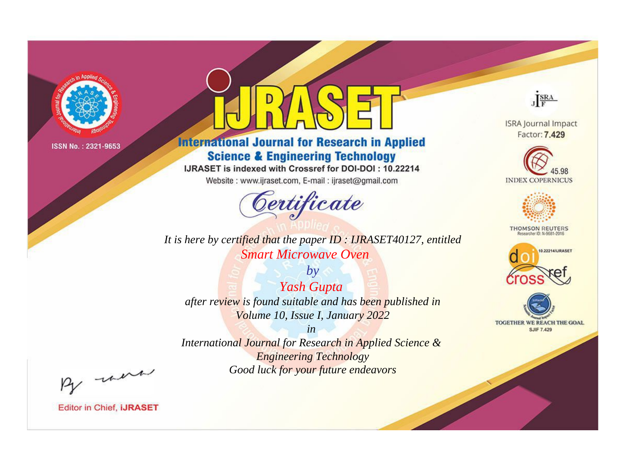

# **International Journal for Research in Applied Science & Engineering Technology**

IJRASET is indexed with Crossref for DOI-DOI: 10.22214

Website: www.ijraset.com, E-mail: ijraset@gmail.com



**ISRA Journal Impact** Factor: 7.429

JERA





**THOMSON REUTERS** 



TOGETHER WE REACH THE GOAL **SJIF 7.429** 

It is here by certified that the paper ID: IJRASET40127, entitled **Smart Microwave Oven** 

 $by$ Yash Gupta after review is found suitable and has been published in Volume 10, Issue I, January 2022

 $in$ International Journal for Research in Applied Science & **Engineering Technology** Good luck for your future endeavors

By morn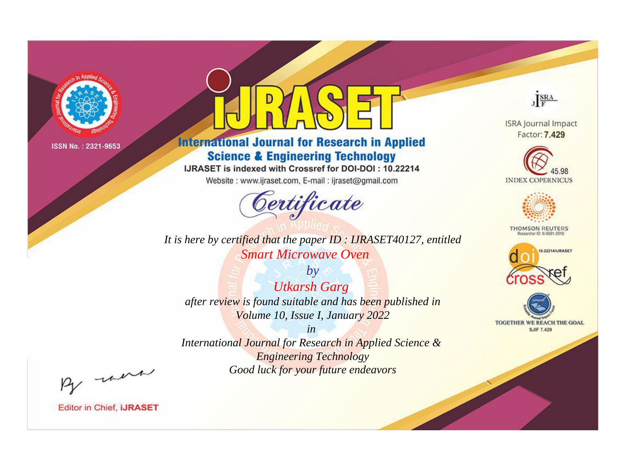

# **International Journal for Research in Applied Science & Engineering Technology**

IJRASET is indexed with Crossref for DOI-DOI: 10.22214

Website: www.ijraset.com, E-mail: ijraset@gmail.com



*It is here by certified that the paper ID : IJRASET40127, entitled Smart Microwave Oven*

*by Utkarsh Garg after review is found suitable and has been published in Volume 10, Issue I, January 2022*

*in International Journal for Research in Applied Science & Engineering Technology Good luck for your future endeavors*



**ISRA Journal Impact** Factor: 7.429





**THOMSON REUTERS** 





By morn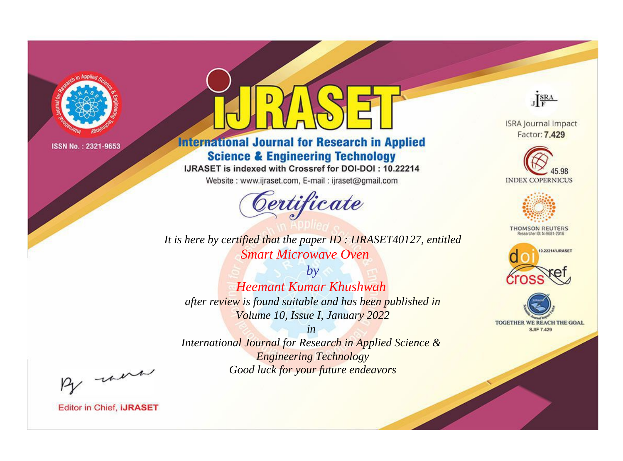

# **International Journal for Research in Applied Science & Engineering Technology**

IJRASET is indexed with Crossref for DOI-DOI: 10.22214

Website: www.ijraset.com, E-mail: ijraset@gmail.com



JERA

**ISRA Journal Impact** Factor: 7.429





**THOMSON REUTERS** 



TOGETHER WE REACH THE GOAL **SJIF 7.429** 

It is here by certified that the paper ID: IJRASET40127, entitled **Smart Microwave Oven** 

 $b\nu$ **Heemant Kumar Khushwah** after review is found suitable and has been published in Volume 10, Issue I, January 2022

 $in$ International Journal for Research in Applied Science & **Engineering Technology** Good luck for your future endeavors

By morn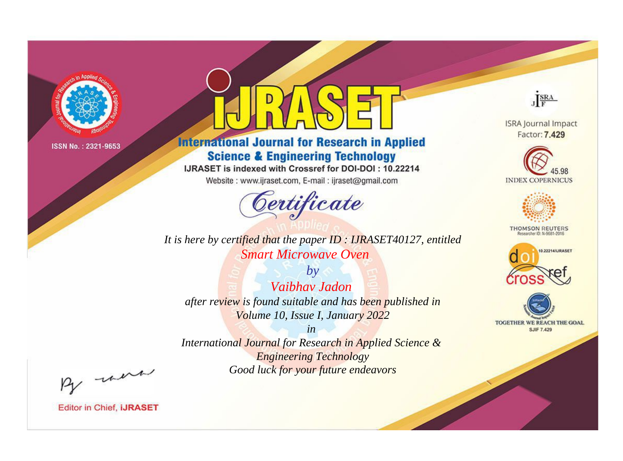

# **International Journal for Research in Applied Science & Engineering Technology**

IJRASET is indexed with Crossref for DOI-DOI: 10.22214

Website: www.ijraset.com, E-mail: ijraset@gmail.com



**ISRA Journal Impact** Factor: 7.429

JERA





**THOMSON REUTERS** 



TOGETHER WE REACH THE GOAL **SJIF 7.429** 

It is here by certified that the paper ID: IJRASET40127, entitled **Smart Microwave Oven** 

 $b\nu$ Vaibhay Jadon after review is found suitable and has been published in Volume 10, Issue I, January 2022

 $in$ International Journal for Research in Applied Science & **Engineering Technology** Good luck for your future endeavors

By morn